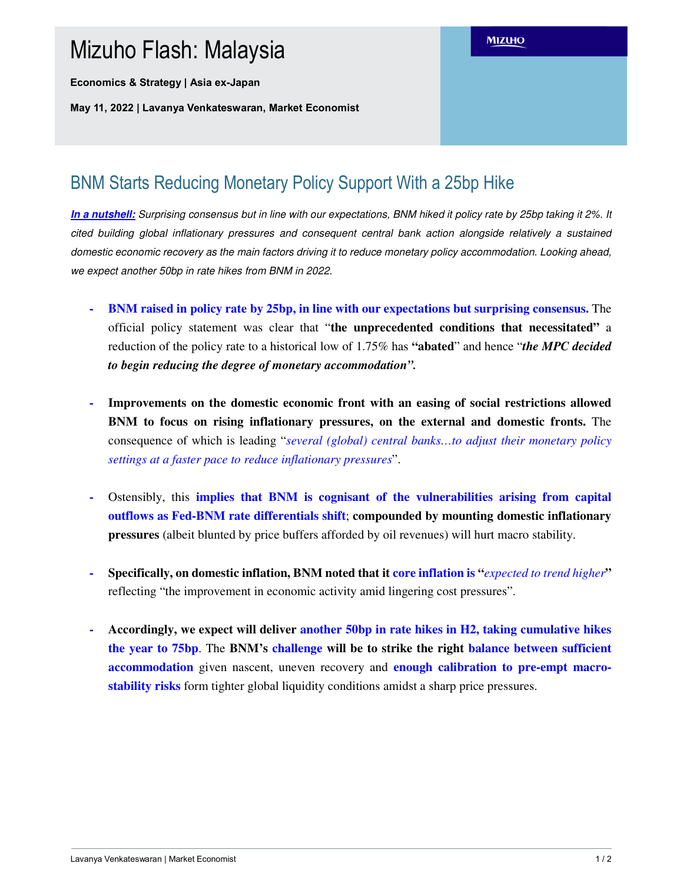## Mizuho Flash: Malaysia

**Economics & Strategy | Asia ex-Japan**

**May 11, 2022 | Lavanya Venkateswaran, Market Economist**

## BNM Starts Reducing Monetary Policy Support With a 25bp Hike

**In a nutshell:** Surprising consensus but in line with our expectations, BNM hiked it policy rate by 25bp taking it 2%. It cited building global inflationary pressures and consequent central bank action alongside relatively a sustained domestic economic recovery as the main factors driving it to reduce monetary policy accommodation. Looking ahead, we expect another 50bp in rate hikes from BNM in 2022.

- **- BNM raised in policy rate by 25bp, in line with our expectations but surprising consensus.** The official policy statement was clear that "**the unprecedented conditions that necessitated"** a reduction of the policy rate to a historical low of 1.75% has **"abated**" and hence "*the MPC decided to begin reducing the degree of monetary accommodation".*
- **- Improvements on the domestic economic front with an easing of social restrictions allowed BNM to focus on rising inflationary pressures, on the external and domestic fronts.** The consequence of which is leading "*several (global) central banks…to adjust their monetary policy settings at a faster pace to reduce inflationary pressures*".
- **-** Ostensibly, this **implies that BNM is cognisant of the vulnerabilities arising from capital outflows as Fed-BNM rate differentials shift**; **compounded by mounting domestic inflationary pressures** (albeit blunted by price buffers afforded by oil revenues) will hurt macro stability.
- **- Specifically, on domestic inflation, BNM noted that it core inflation is "***expected to trend higher***"** reflecting "the improvement in economic activity amid lingering cost pressures".
- **- Accordingly, we expect will deliver another 50bp in rate hikes in H2, taking cumulative hikes the year to 75bp**. The **BNM's challenge will be to strike the right balance between sufficient accommodation** given nascent, uneven recovery and **enough calibration to pre-empt macrostability risks** form tighter global liquidity conditions amidst a sharp price pressures.

**MIZUHO**